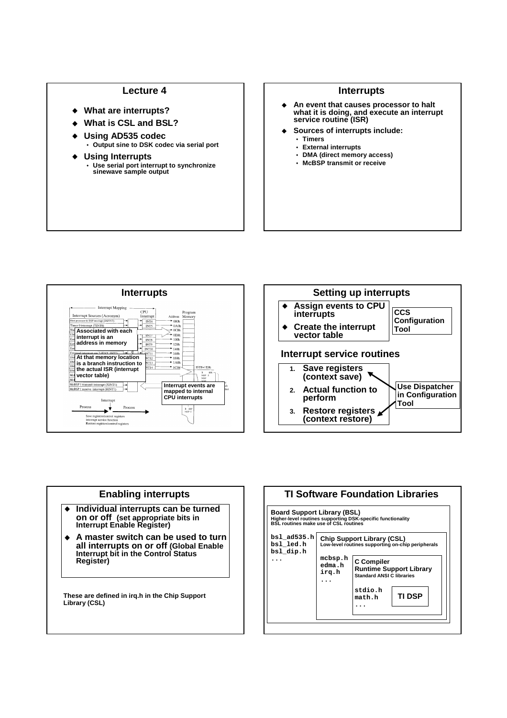## **Lecture 4**

- **What are interrupts?**
- **What is CSL and BSL?**
- **Using AD535 codec Output sine to DSK codec via serial port**
- **Using Interrupts Use serial port interrupt to synchronize sinewave sample output**

## **Interrupts**

- $\bullet$  **An event that causes processor to halt what it is doing, and execute an interrupt service routine (ISR)**
- **Sources of interrupts include:**
	- **Timers**
	- **External interrupts**
	- **DMA (direct memory access)**
	- **McBSP transmit or receive**





## **Enabling interrupts**

- $\blacklozenge$  **Individual interrupts can be turned on or off (set appropriate bits in Interrupt Enable Register)**
- $\blacktriangle$  **A master switch can be used to turn all interrupts on or off (Global Enable Interrupt bit in the Control Status Register)**

**These are defined in irq.h in the Chip Support Library (CSL)**

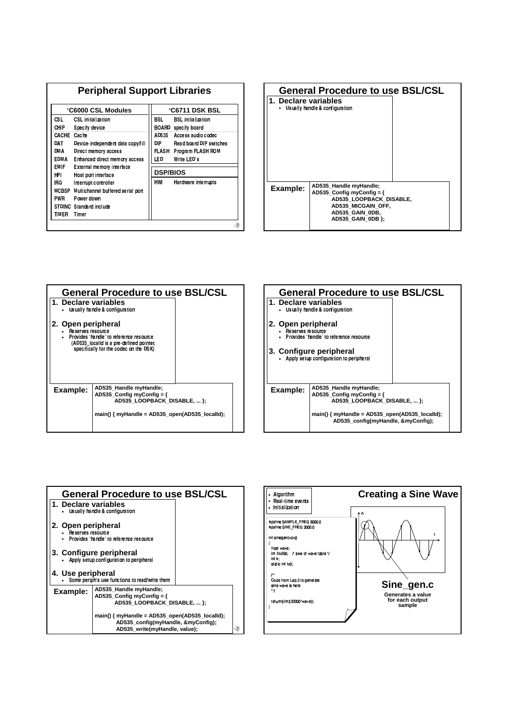| 'C6000 CSL Modules                                |                                                                                  | <b>'C6711 DSK BSL</b>  |                                                                                  |
|---------------------------------------------------|----------------------------------------------------------------------------------|------------------------|----------------------------------------------------------------------------------|
| CSL.<br>CHIP<br>Specify device                    | <b>CSL</b> initialization                                                        | BSL.                   | <b>BSL</b> initialization<br><b>BOARD</b> specify board                          |
| CACHE<br>Cache<br>DAT<br>DMA                      | Device independent data copy/fill<br>Direct memory access                        | AD535<br>DIP.<br>FLASH | Access audio codec<br><b>Read board DIP switches</b><br><b>Program FLASH ROM</b> |
| <b>EDMA</b><br><b>EMIF</b>                        | Enhanced direct memory access<br>External memory interface                       |                        | Write LED's<br><b>DSP/BIOS</b>                                                   |
| HPI<br>IRQ.<br><b>MCBSP</b><br>PWR.<br>Power down | Host port interface<br>Interrupt controller<br>Multichannel buffered serial port | <b>HWI</b>             | <b>Hardware interrupts</b>                                                       |
| STDINC Standard include<br>TIMER<br>Timer         |                                                                                  |                        |                                                                                  |

| <b>General Procedure to use BSL/CSL</b> |                                                                                                                                                 |  |  |  |
|-----------------------------------------|-------------------------------------------------------------------------------------------------------------------------------------------------|--|--|--|
| 1. Declare variables                    | Usually handle & configuration                                                                                                                  |  |  |  |
| Example:                                | AD535 Handle myHandle;<br>AD535 Config myConfig = $\{$<br>AD535 LOOPBACK DISABLE,<br>AD535 MICGAIN OFF,<br>AD535 GAIN ODB,<br>AD535 GAIN 0DB }; |  |  |  |

| <b>General Procedure to use BSL/CSL</b> |                                                                                                                               |  |  |  |
|-----------------------------------------|-------------------------------------------------------------------------------------------------------------------------------|--|--|--|
| l. Declare variables                    | Usually handle & configuration                                                                                                |  |  |  |
| 2. Open peripheral<br>Reserves resource | Provides 'handle' to reference resource<br>(AD535 localld is a pre-defined pointer,<br>specifically for the codec on the DSK) |  |  |  |
| Example:                                | AD535 Handle myHandle;<br>AD535 Config myConfig = $\{$<br>AD535 LOOPBACK DISABLE,  };                                         |  |  |  |
|                                         | main() { $myHandle = AD535_open(AD535-localid);$                                                                              |  |  |  |





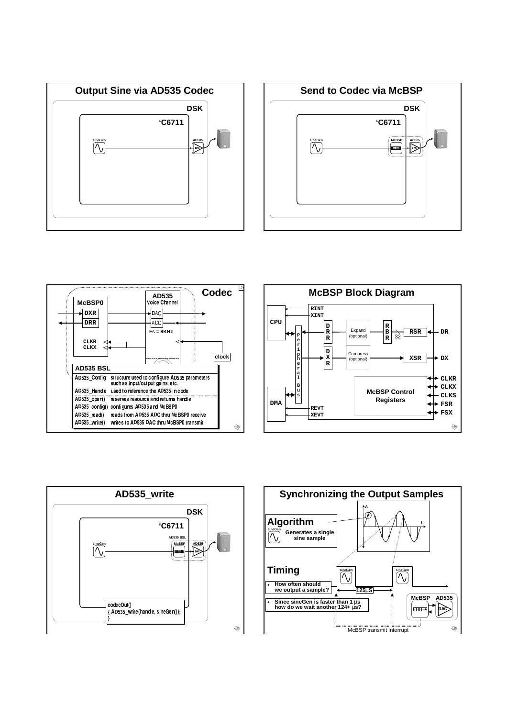









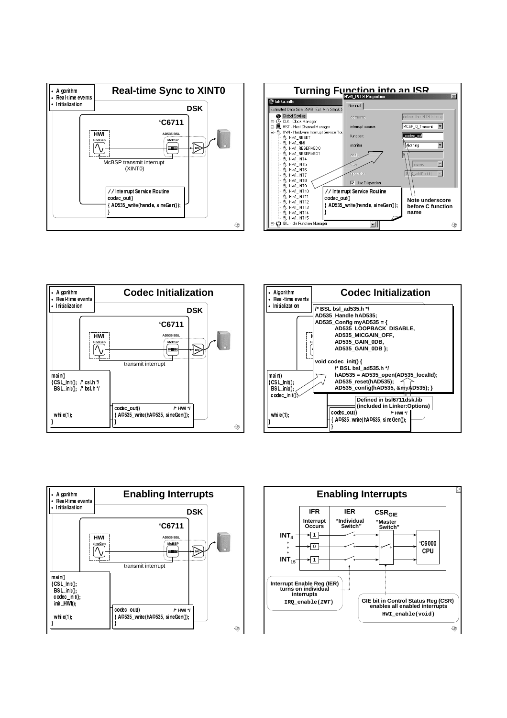